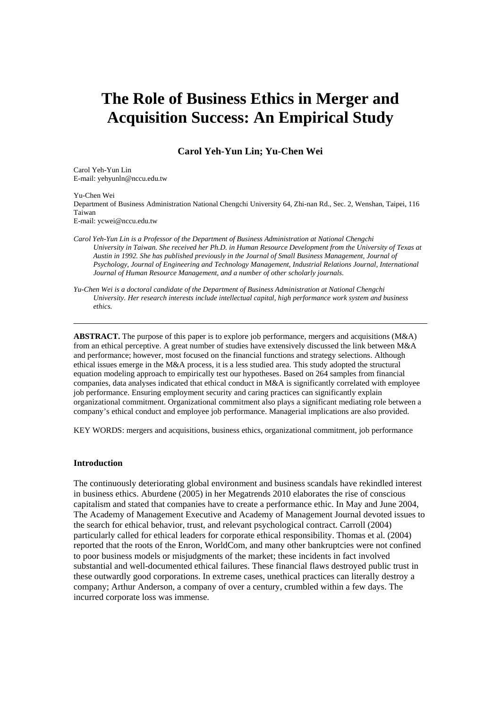# **The Role of Business Ethics in Merger and Acquisition Success: An Empirical Study**

**Carol Yeh-Yun Lin; Yu-Chen Wei** 

Carol Yeh-Yun Lin E-mail: yehyunln@nccu.edu.tw

Yu-Chen Wei

Department of Business Administration National Chengchi University 64, Zhi-nan Rd., Sec. 2, Wenshan, Taipei, 116 Taiwan

E-mail: ycwei@nccu.edu.tw

- *Carol Yeh-Yun Lin is a Professor of the Department of Business Administration at National Chengchi University in Taiwan. She received her Ph.D. in Human Resource Development from the University of Texas at Austin in 1992. She has published previously in the Journal of Small Business Management, Journal of Psychology, Journal of Engineering and Technology Management, Industrial Relations Journal, International Journal of Human Resource Management, and a number of other scholarly journals.*
- *Yu-Chen Wei is a doctoral candidate of the Department of Business Administration at National Chengchi University. Her research interests include intellectual capital, high performance work system and business ethics.*

**ABSTRACT.** The purpose of this paper is to explore job performance, mergers and acquisitions (M&A) from an ethical perceptive. A great number of studies have extensively discussed the link between M&A and performance; however, most focused on the financial functions and strategy selections. Although ethical issues emerge in the M&A process, it is a less studied area. This study adopted the structural equation modeling approach to empirically test our hypotheses. Based on 264 samples from financial companies, data analyses indicated that ethical conduct in M&A is significantly correlated with employee job performance. Ensuring employment security and caring practices can significantly explain organizational commitment. Organizational commitment also plays a significant mediating role between a company's ethical conduct and employee job performance. Managerial implications are also provided.

KEY WORDS: mergers and acquisitions, business ethics, organizational commitment, job performance

#### **Introduction**

The continuously deteriorating global environment and business scandals have rekindled interest in business ethics. Aburdene (2005) in her Megatrends 2010 elaborates the rise of conscious capitalism and stated that companies have to create a performance ethic. In May and June 2004, The Academy of Management Executive and Academy of Management Journal devoted issues to the search for ethical behavior, trust, and relevant psychological contract. Carroll (2004) particularly called for ethical leaders for corporate ethical responsibility. Thomas et al. (2004) reported that the roots of the Enron, WorldCom, and many other bankruptcies were not confined to poor business models or misjudgments of the market; these incidents in fact involved substantial and well-documented ethical failures. These financial flaws destroyed public trust in these outwardly good corporations. In extreme cases, unethical practices can literally destroy a company; Arthur Anderson, a company of over a century, crumbled within a few days. The incurred corporate loss was immense.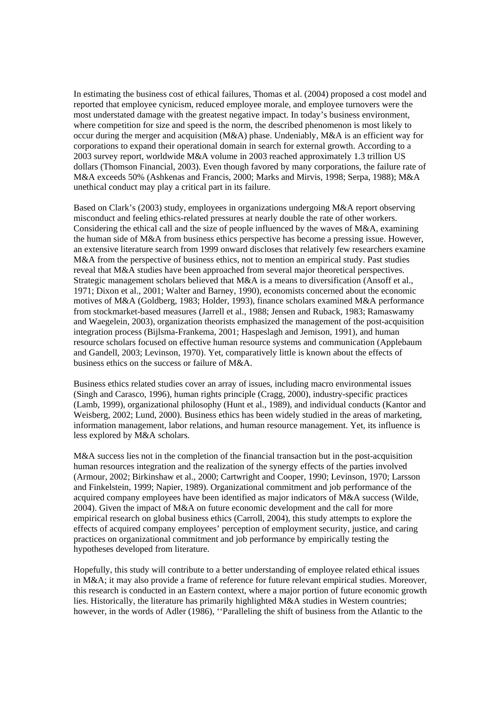In estimating the business cost of ethical failures, Thomas et al. (2004) proposed a cost model and reported that employee cynicism, reduced employee morale, and employee turnovers were the most understated damage with the greatest negative impact. In today's business environment, where competition for size and speed is the norm, the described phenomenon is most likely to occur during the merger and acquisition (M&A) phase. Undeniably, M&A is an efficient way for corporations to expand their operational domain in search for external growth. According to a 2003 survey report, worldwide M&A volume in 2003 reached approximately 1.3 trillion US dollars (Thomson Financial, 2003). Even though favored by many corporations, the failure rate of M&A exceeds 50% (Ashkenas and Francis, 2000; Marks and Mirvis, 1998; Serpa, 1988); M&A unethical conduct may play a critical part in its failure.

Based on Clark's (2003) study, employees in organizations undergoing M&A report observing misconduct and feeling ethics-related pressures at nearly double the rate of other workers. Considering the ethical call and the size of people influenced by the waves of M&A, examining the human side of M&A from business ethics perspective has become a pressing issue. However, an extensive literature search from 1999 onward discloses that relatively few researchers examine M&A from the perspective of business ethics, not to mention an empirical study. Past studies reveal that M&A studies have been approached from several major theoretical perspectives. Strategic management scholars believed that M&A is a means to diversification (Ansoff et al., 1971; Dixon et al., 2001; Walter and Barney, 1990), economists concerned about the economic motives of M&A (Goldberg, 1983; Holder, 1993), finance scholars examined M&A performance from stockmarket-based measures (Jarrell et al., 1988; Jensen and Ruback, 1983; Ramaswamy and Waegelein, 2003), organization theorists emphasized the management of the post-acquisition integration process (Bijlsma-Frankema, 2001; Haspeslagh and Jemison, 1991), and human resource scholars focused on effective human resource systems and communication (Applebaum and Gandell, 2003; Levinson, 1970). Yet, comparatively little is known about the effects of business ethics on the success or failure of M&A.

Business ethics related studies cover an array of issues, including macro environmental issues (Singh and Carasco, 1996), human rights principle (Cragg, 2000), industry-specific practices (Lamb, 1999), organizational philosophy (Hunt et al., 1989), and individual conducts (Kantor and Weisberg, 2002; Lund, 2000). Business ethics has been widely studied in the areas of marketing, information management, labor relations, and human resource management. Yet, its influence is less explored by M&A scholars.

M&A success lies not in the completion of the financial transaction but in the post-acquisition human resources integration and the realization of the synergy effects of the parties involved (Armour, 2002; Birkinshaw et al., 2000; Cartwright and Cooper, 1990; Levinson, 1970; Larsson and Finkelstein, 1999; Napier, 1989). Organizational commitment and job performance of the acquired company employees have been identified as major indicators of M&A success (Wilde, 2004). Given the impact of M&A on future economic development and the call for more empirical research on global business ethics (Carroll, 2004), this study attempts to explore the effects of acquired company employees' perception of employment security, justice, and caring practices on organizational commitment and job performance by empirically testing the hypotheses developed from literature.

Hopefully, this study will contribute to a better understanding of employee related ethical issues in M&A; it may also provide a frame of reference for future relevant empirical studies. Moreover, this research is conducted in an Eastern context, where a major portion of future economic growth lies. Historically, the literature has primarily highlighted M&A studies in Western countries; however, in the words of Adler (1986), "Paralleling the shift of business from the Atlantic to the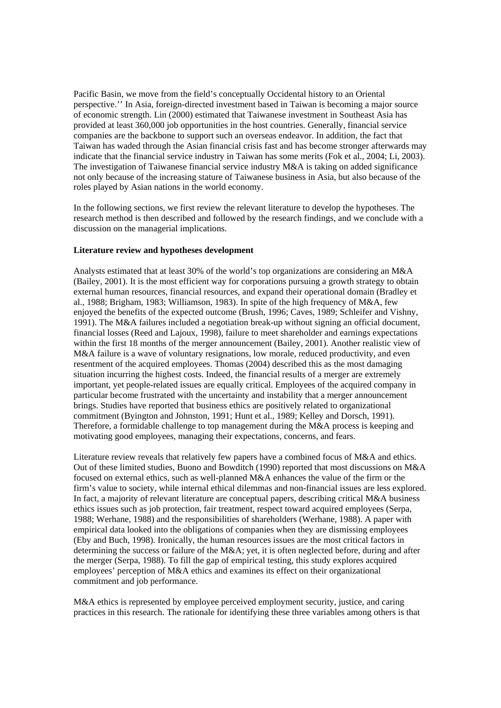Pacific Basin, we move from the field's conceptually Occidental history to an Oriental perspective.'' In Asia, foreign-directed investment based in Taiwan is becoming a major source of economic strength. Lin (2000) estimated that Taiwanese investment in Southeast Asia has provided at least 360,000 job opportunities in the host countries. Generally, financial service companies are the backbone to support such an overseas endeavor. In addition, the fact that Taiwan has waded through the Asian financial crisis fast and has become stronger afterwards may indicate that the financial service industry in Taiwan has some merits (Fok et al., 2004; Li, 2003). The investigation of Taiwanese financial service industry M&A is taking on added significance not only because of the increasing stature of Taiwanese business in Asia, but also because of the roles played by Asian nations in the world economy.

In the following sections, we first review the relevant literature to develop the hypotheses. The research method is then described and followed by the research findings, and we conclude with a discussion on the managerial implications.

## **Literature review and hypotheses development**

Analysts estimated that at least 30% of the world's top organizations are considering an M&A (Bailey, 2001). It is the most efficient way for corporations pursuing a growth strategy to obtain external human resources, financial resources, and expand their operational domain (Bradley et al., 1988; Brigham, 1983; Williamson, 1983). In spite of the high frequency of M&A, few enjoyed the benefits of the expected outcome (Brush, 1996; Caves, 1989; Schleifer and Vishny, 1991). The M&A failures included a negotiation break-up without signing an official document, financial losses (Reed and Lajoux, 1998), failure to meet shareholder and earnings expectations within the first 18 months of the merger announcement (Bailey, 2001). Another realistic view of M&A failure is a wave of voluntary resignations, low morale, reduced productivity, and even resentment of the acquired employees. Thomas (2004) described this as the most damaging situation incurring the highest costs. Indeed, the financial results of a merger are extremely important, yet people-related issues are equally critical. Employees of the acquired company in particular become frustrated with the uncertainty and instability that a merger announcement brings. Studies have reported that business ethics are positively related to organizational commitment (Byington and Johnston, 1991; Hunt et al., 1989; Kelley and Dorsch, 1991). Therefore, a formidable challenge to top management during the M&A process is keeping and motivating good employees, managing their expectations, concerns, and fears.

Literature review reveals that relatively few papers have a combined focus of M&A and ethics. Out of these limited studies, Buono and Bowditch (1990) reported that most discussions on M&A focused on external ethics, such as well-planned M&A enhances the value of the firm or the firm's value to society, while internal ethical dilemmas and non-financial issues are less explored. In fact, a majority of relevant literature are conceptual papers, describing critical M&A business ethics issues such as job protection, fair treatment, respect toward acquired employees (Serpa, 1988; Werhane, 1988) and the responsibilities of shareholders (Werhane, 1988). A paper with empirical data looked into the obligations of companies when they are dismissing employees (Eby and Buch, 1998). Ironically, the human resources issues are the most critical factors in determining the success or failure of the M&A; yet, it is often neglected before, during and after the merger (Serpa, 1988). To fill the gap of empirical testing, this study explores acquired employees' perception of M&A ethics and examines its effect on their organizational commitment and job performance.

M&A ethics is represented by employee perceived employment security, justice, and caring practices in this research. The rationale for identifying these three variables among others is that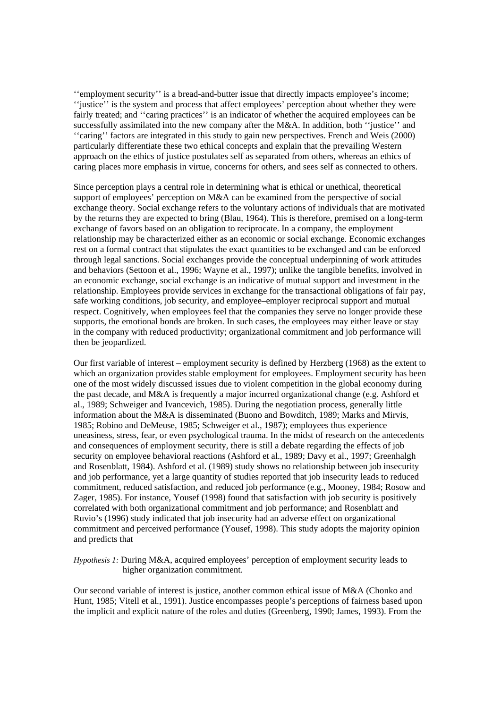''employment security'' is a bread-and-butter issue that directly impacts employee's income; ''justice'' is the system and process that affect employees' perception about whether they were fairly treated; and ''caring practices'' is an indicator of whether the acquired employees can be successfully assimilated into the new company after the M&A. In addition, both ''justice'' and ''caring'' factors are integrated in this study to gain new perspectives. French and Weis (2000) particularly differentiate these two ethical concepts and explain that the prevailing Western approach on the ethics of justice postulates self as separated from others, whereas an ethics of caring places more emphasis in virtue, concerns for others, and sees self as connected to others.

Since perception plays a central role in determining what is ethical or unethical, theoretical support of employees' perception on M&A can be examined from the perspective of social exchange theory. Social exchange refers to the voluntary actions of individuals that are motivated by the returns they are expected to bring (Blau, 1964). This is therefore, premised on a long-term exchange of favors based on an obligation to reciprocate. In a company, the employment relationship may be characterized either as an economic or social exchange. Economic exchanges rest on a formal contract that stipulates the exact quantities to be exchanged and can be enforced through legal sanctions. Social exchanges provide the conceptual underpinning of work attitudes and behaviors (Settoon et al., 1996; Wayne et al., 1997); unlike the tangible benefits, involved in an economic exchange, social exchange is an indicative of mutual support and investment in the relationship. Employees provide services in exchange for the transactional obligations of fair pay, safe working conditions, job security, and employee–employer reciprocal support and mutual respect. Cognitively, when employees feel that the companies they serve no longer provide these supports, the emotional bonds are broken. In such cases, the employees may either leave or stay in the company with reduced productivity; organizational commitment and job performance will then be jeopardized.

Our first variable of interest – employment security is defined by Herzberg (1968) as the extent to which an organization provides stable employment for employees. Employment security has been one of the most widely discussed issues due to violent competition in the global economy during the past decade, and M&A is frequently a major incurred organizational change (e.g. Ashford et al., 1989; Schweiger and Ivancevich, 1985). During the negotiation process, generally little information about the M&A is disseminated (Buono and Bowditch, 1989; Marks and Mirvis, 1985; Robino and DeMeuse, 1985; Schweiger et al., 1987); employees thus experience uneasiness, stress, fear, or even psychological trauma. In the midst of research on the antecedents and consequences of employment security, there is still a debate regarding the effects of job security on employee behavioral reactions (Ashford et al., 1989; Davy et al., 1997; Greenhalgh and Rosenblatt, 1984). Ashford et al. (1989) study shows no relationship between job insecurity and job performance, yet a large quantity of studies reported that job insecurity leads to reduced commitment, reduced satisfaction, and reduced job performance (e.g., Mooney, 1984; Rosow and Zager, 1985). For instance, Yousef (1998) found that satisfaction with job security is positively correlated with both organizational commitment and job performance; and Rosenblatt and Ruvio's (1996) study indicated that job insecurity had an adverse effect on organizational commitment and perceived performance (Yousef, 1998). This study adopts the majority opinion and predicts that

*Hypothesis 1:* During M&A, acquired employees' perception of employment security leads to higher organization commitment.

Our second variable of interest is justice, another common ethical issue of M&A (Chonko and Hunt, 1985; Vitell et al., 1991). Justice encompasses people's perceptions of fairness based upon the implicit and explicit nature of the roles and duties (Greenberg, 1990; James, 1993). From the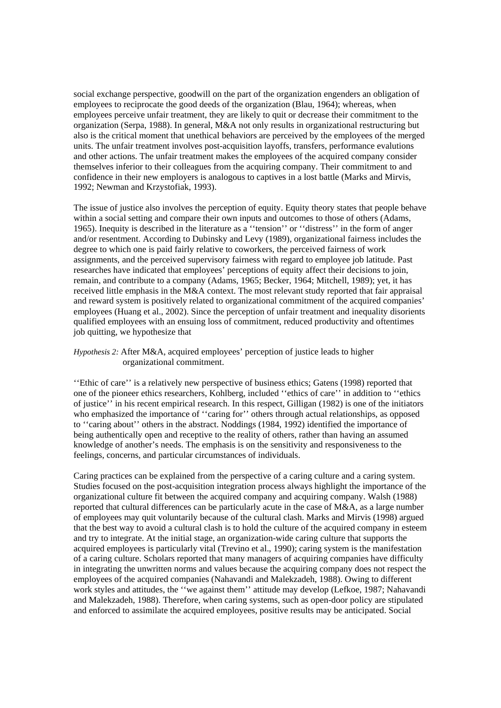social exchange perspective, goodwill on the part of the organization engenders an obligation of employees to reciprocate the good deeds of the organization (Blau, 1964); whereas, when employees perceive unfair treatment, they are likely to quit or decrease their commitment to the organization (Serpa, 1988). In general, M&A not only results in organizational restructuring but also is the critical moment that unethical behaviors are perceived by the employees of the merged units. The unfair treatment involves post-acquisition layoffs, transfers, performance evalutions and other actions. The unfair treatment makes the employees of the acquired company consider themselves inferior to their colleagues from the acquiring company. Their commitment to and confidence in their new employers is analogous to captives in a lost battle (Marks and Mirvis, 1992; Newman and Krzystofiak, 1993).

The issue of justice also involves the perception of equity. Equity theory states that people behave within a social setting and compare their own inputs and outcomes to those of others (Adams, 1965). Inequity is described in the literature as a ''tension'' or ''distress'' in the form of anger and/or resentment. According to Dubinsky and Levy (1989), organizational fairness includes the degree to which one is paid fairly relative to coworkers, the perceived fairness of work assignments, and the perceived supervisory fairness with regard to employee job latitude. Past researches have indicated that employees' perceptions of equity affect their decisions to join, remain, and contribute to a company (Adams, 1965; Becker, 1964; Mitchell, 1989); yet, it has received little emphasis in the M&A context. The most relevant study reported that fair appraisal and reward system is positively related to organizational commitment of the acquired companies' employees (Huang et al., 2002). Since the perception of unfair treatment and inequality disorients qualified employees with an ensuing loss of commitment, reduced productivity and oftentimes job quitting, we hypothesize that

# *Hypothesis 2:* After M&A, acquired employees' perception of justice leads to higher organizational commitment.

''Ethic of care'' is a relatively new perspective of business ethics; Gatens (1998) reported that one of the pioneer ethics researchers, Kohlberg, included ''ethics of care'' in addition to ''ethics of justice'' in his recent empirical research. In this respect, Gilligan (1982) is one of the initiators who emphasized the importance of ''caring for'' others through actual relationships, as opposed to ''caring about'' others in the abstract. Noddings (1984, 1992) identified the importance of being authentically open and receptive to the reality of others, rather than having an assumed knowledge of another's needs. The emphasis is on the sensitivity and responsiveness to the feelings, concerns, and particular circumstances of individuals.

Caring practices can be explained from the perspective of a caring culture and a caring system. Studies focused on the post-acquisition integration process always highlight the importance of the organizational culture fit between the acquired company and acquiring company. Walsh (1988) reported that cultural differences can be particularly acute in the case of M&A, as a large number of employees may quit voluntarily because of the cultural clash. Marks and Mirvis (1998) argued that the best way to avoid a cultural clash is to hold the culture of the acquired company in esteem and try to integrate. At the initial stage, an organization-wide caring culture that supports the acquired employees is particularly vital (Trevino et al., 1990); caring system is the manifestation of a caring culture. Scholars reported that many managers of acquiring companies have difficulty in integrating the unwritten norms and values because the acquiring company does not respect the employees of the acquired companies (Nahavandi and Malekzadeh, 1988). Owing to different work styles and attitudes, the ''we against them'' attitude may develop (Lefkoe, 1987; Nahavandi and Malekzadeh, 1988). Therefore, when caring systems, such as open-door policy are stipulated and enforced to assimilate the acquired employees, positive results may be anticipated. Social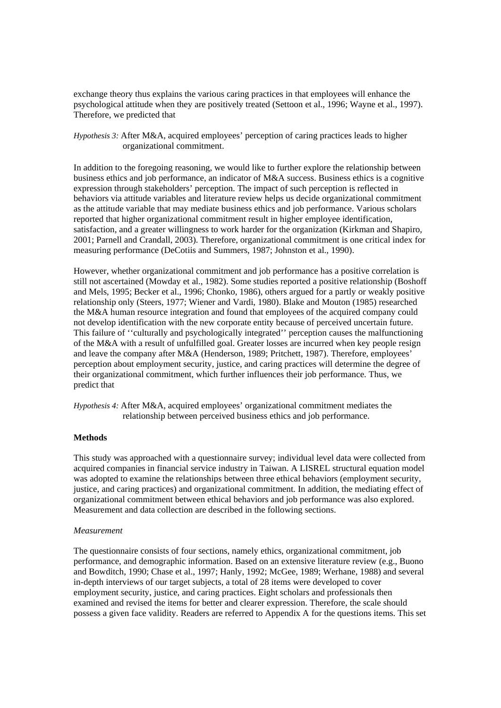exchange theory thus explains the various caring practices in that employees will enhance the psychological attitude when they are positively treated (Settoon et al., 1996; Wayne et al., 1997). Therefore, we predicted that

*Hypothesis 3:* After M&A, acquired employees' perception of caring practices leads to higher organizational commitment.

In addition to the foregoing reasoning, we would like to further explore the relationship between business ethics and job performance, an indicator of M&A success. Business ethics is a cognitive expression through stakeholders' perception. The impact of such perception is reflected in behaviors via attitude variables and literature review helps us decide organizational commitment as the attitude variable that may mediate business ethics and job performance. Various scholars reported that higher organizational commitment result in higher employee identification, satisfaction, and a greater willingness to work harder for the organization (Kirkman and Shapiro, 2001; Parnell and Crandall, 2003). Therefore, organizational commitment is one critical index for measuring performance (DeCotiis and Summers, 1987; Johnston et al., 1990).

However, whether organizational commitment and job performance has a positive correlation is still not ascertained (Mowday et al., 1982). Some studies reported a positive relationship (Boshoff and Mels, 1995; Becker et al., 1996; Chonko, 1986), others argued for a partly or weakly positive relationship only (Steers, 1977; Wiener and Vardi, 1980). Blake and Mouton (1985) researched the M&A human resource integration and found that employees of the acquired company could not develop identification with the new corporate entity because of perceived uncertain future. This failure of ''culturally and psychologically integrated'' perception causes the malfunctioning of the M&A with a result of unfulfilled goal. Greater losses are incurred when key people resign and leave the company after M&A (Henderson, 1989; Pritchett, 1987). Therefore, employees' perception about employment security, justice, and caring practices will determine the degree of their organizational commitment, which further influences their job performance. Thus, we predict that

*Hypothesis 4:* After M&A, acquired employees' organizational commitment mediates the relationship between perceived business ethics and job performance.

# **Methods**

This study was approached with a questionnaire survey; individual level data were collected from acquired companies in financial service industry in Taiwan. A LISREL structural equation model was adopted to examine the relationships between three ethical behaviors (employment security, justice, and caring practices) and organizational commitment. In addition, the mediating effect of organizational commitment between ethical behaviors and job performance was also explored. Measurement and data collection are described in the following sections.

#### *Measurement*

The questionnaire consists of four sections, namely ethics, organizational commitment, job performance, and demographic information. Based on an extensive literature review (e.g., Buono and Bowditch, 1990; Chase et al., 1997; Hanly, 1992; McGee, 1989; Werhane, 1988) and several in-depth interviews of our target subjects, a total of 28 items were developed to cover employment security, justice, and caring practices. Eight scholars and professionals then examined and revised the items for better and clearer expression. Therefore, the scale should possess a given face validity. Readers are referred to Appendix A for the questions items. This set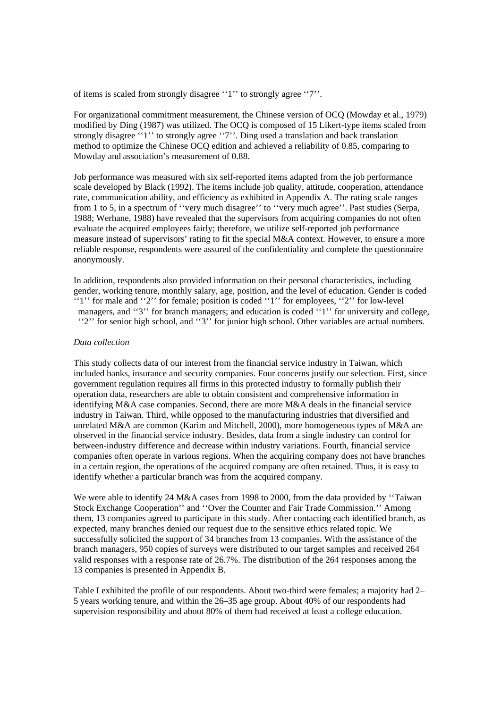of items is scaled from strongly disagree ''1'' to strongly agree ''7''.

For organizational commitment measurement, the Chinese version of OCQ (Mowday et al., 1979) modified by Ding (1987) was utilized. The OCQ is composed of 15 Likert-type items scaled from strongly disagree "1" to strongly agree "7". Ding used a translation and back translation method to optimize the Chinese OCQ edition and achieved a reliability of 0.85, comparing to Mowday and association's measurement of 0.88.

Job performance was measured with six self-reported items adapted from the job performance scale developed by Black (1992). The items include job quality, attitude, cooperation, attendance rate, communication ability, and efficiency as exhibited in Appendix A. The rating scale ranges from 1 to 5, in a spectrum of ''very much disagree'' to ''very much agree''. Past studies (Serpa, 1988; Werhane, 1988) have revealed that the supervisors from acquiring companies do not often evaluate the acquired employees fairly; therefore, we utilize self-reported job performance measure instead of supervisors' rating to fit the special M&A context. However, to ensure a more reliable response, respondents were assured of the confidentiality and complete the questionnaire anonymously.

In addition, respondents also provided information on their personal characteristics, including gender, working tenure, monthly salary, age, position, and the level of education. Gender is coded ''1'' for male and ''2'' for female; position is coded ''1'' for employees, ''2'' for low-level managers, and "3" for branch managers; and education is coded "1" for university and college, ''2'' for senior high school, and ''3'' for junior high school. Other variables are actual numbers.

## *Data collection*

This study collects data of our interest from the financial service industry in Taiwan, which included banks, insurance and security companies. Four concerns justify our selection. First, since government regulation requires all firms in this protected industry to formally publish their operation data, researchers are able to obtain consistent and comprehensive information in identifying M&A case companies. Second, there are more M&A deals in the financial service industry in Taiwan. Third, while opposed to the manufacturing industries that diversified and unrelated M&A are common (Karim and Mitchell, 2000), more homogeneous types of M&A are observed in the financial service industry. Besides, data from a single industry can control for between-industry difference and decrease within industry variations. Fourth, financial service companies often operate in various regions. When the acquiring company does not have branches in a certain region, the operations of the acquired company are often retained. Thus, it is easy to identify whether a particular branch was from the acquired company.

We were able to identify 24 M&A cases from 1998 to 2000, from the data provided by "Taiwan" Stock Exchange Cooperation'' and ''Over the Counter and Fair Trade Commission.'' Among them, 13 companies agreed to participate in this study. After contacting each identified branch, as expected, many branches denied our request due to the sensitive ethics related topic. We successfully solicited the support of 34 branches from 13 companies. With the assistance of the branch managers, 950 copies of surveys were distributed to our target samples and received 264 valid responses with a response rate of 26.7%. The distribution of the 264 responses among the 13 companies is presented in Appendix B.

Table I exhibited the profile of our respondents. About two-third were females; a majority had 2– 5 years working tenure, and within the 26–35 age group. About 40% of our respondents had supervision responsibility and about 80% of them had received at least a college education.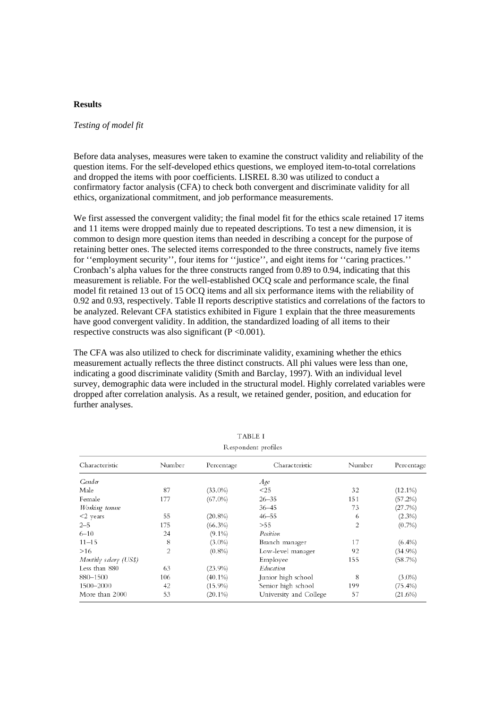#### **Results**

# *Testing of model fit*

Before data analyses, measures were taken to examine the construct validity and reliability of the question items. For the self-developed ethics questions, we employed item-to-total correlations and dropped the items with poor coefficients. LISREL 8.30 was utilized to conduct a confirmatory factor analysis (CFA) to check both convergent and discriminate validity for all ethics, organizational commitment, and job performance measurements.

We first assessed the convergent validity; the final model fit for the ethics scale retained 17 items and 11 items were dropped mainly due to repeated descriptions. To test a new dimension, it is common to design more question items than needed in describing a concept for the purpose of retaining better ones. The selected items corresponded to the three constructs, namely five items for ''employment security'', four items for ''justice'', and eight items for ''caring practices.'' Cronbach's alpha values for the three constructs ranged from 0.89 to 0.94, indicating that this measurement is reliable. For the well-established OCQ scale and performance scale, the final model fit retained 13 out of 15 OCQ items and all six performance items with the reliability of 0.92 and 0.93, respectively. Table II reports descriptive statistics and correlations of the factors to be analyzed. Relevant CFA statistics exhibited in Figure 1 explain that the three measurements have good convergent validity. In addition, the standardized loading of all items to their respective constructs was also significant ( $P < 0.001$ ).

The CFA was also utilized to check for discriminate validity, examining whether the ethics measurement actually reflects the three distinct constructs. All phi values were less than one, indicating a good discriminate validity (Smith and Barclay, 1997). With an individual level survey, demographic data were included in the structural model. Highly correlated variables were dropped after correlation analysis. As a result, we retained gender, position, and education for further analyses.

| Respondent profiles   |                |            |                        |        |            |
|-----------------------|----------------|------------|------------------------|--------|------------|
| Characteristic        | Number         | Percentage | Characteristic         | Number | Percentage |
| Gender                |                |            | Age                    |        |            |
| Male                  | 87             | $(33.0\%)$ | $25$                   | 32     | (12.1%)    |
| Female                | 177            | $(67.0\%)$ | $26 - 35$              | 151    | (57.2%)    |
| Working tenure        |                |            | $36 - 45$              | 73     | (27.7%)    |
| $<$ 2 years           | 55             | $(20.8\%)$ | $46 - 55$              | 6      | $(2.3\%)$  |
| $2 - 5$               | 175            | $(66.3\%)$ | >55                    | 2      | $(0.7\%)$  |
| $6 - 10$              | 24             | $(9.1\%)$  | Position               |        |            |
| $11 - 15$             | 8              | $(3.0\%)$  | Branch manager         | 17     | $(6.4\%)$  |
| >16                   | $\overline{c}$ | $(0.8\%)$  | Low-level manager      | 92     | (34.9%)    |
| Monthly salary (US\$) |                |            | Employee               | 155    | (58.7%)    |
| Less than 880         | 63             | $(23.9\%)$ | Education              |        |            |
| 880-1500              | 106            | $(40.1\%)$ | Junior high school     | 8      | $(3.0\%)$  |
| 1500-2000             | 42             | $(15.9\%)$ | Senior high school     | 199    | $(75.4\%)$ |
| More than 2000        | 53             | $(20.1\%)$ | University and College | 57     | $(21.6\%)$ |

TABLE I andant mosfil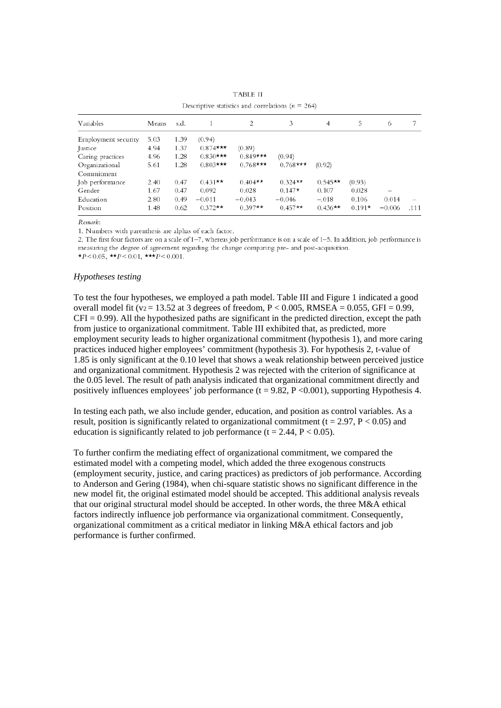| Variables           | Means | s.d. |             | 2           | 3          | 4         | 5        | 6        |      |
|---------------------|-------|------|-------------|-------------|------------|-----------|----------|----------|------|
| Employment security | 5.03  | 1.39 | (0.94)      |             |            |           |          |          |      |
| Justice             | 4.94  | 1.37 | $0.874$ *** | (0.89)      |            |           |          |          |      |
| Caring practices    | 4.96  | 1.28 | $0.830***$  | $0.849$ *** | (0.94)     |           |          |          |      |
| Organizational      | 5.61  | 1.28 | $0.803$ *** | $0.768$ *** | $0.768***$ | (0.92)    |          |          |      |
| Commitment          |       |      |             |             |            |           |          |          |      |
| Job performance     | 2.40  | 0.47 | $0.431**$   | $0.404**$   | $0.324**$  | $0.545**$ | (0.93)   |          |      |
| Gender              | 1.67  | 0.47 | 0.092       | 0.028       | $0.147*$   | 0.107     | 0.028    |          |      |
| Education           | 2.80  | 0.49 | $-0.011$    | $-0.043$    | $-0.046$   | $-.018$   | 0.106    | 0.014    |      |
| Position            | 1.48  | 0.62 | $0.372**$   | $0.397**$   | $0.457**$  | $0.436**$ | $0.191*$ | $-0.006$ | .111 |

**TABLE II** Descriptive statistics and correlations ( $n = 264$ )

**Remark** 

1. Numbers with parenthesis are alphas of each factor.

2. The first four factors are on a scale of 1–7, whereas job performance is on a scale of 1–5. In addition, job performance is measuring the degree of agreement regarding the change comparing pre- and post-acquisition.

\* $P < 0.05$ , \*\* $P < 0.01$ , \*\*\* $P < 0.001$ .

## *Hypotheses testing*

To test the four hypotheses, we employed a path model. Table III and Figure 1 indicated a good overall model fit ( $v_2$  = 13.52 at 3 degrees of freedom, P < 0.005, RMSEA = 0.055, GFI = 0.99,  $CFI = 0.99$ . All the hypothesized paths are significant in the predicted direction, except the path from justice to organizational commitment. Table III exhibited that, as predicted, more employment security leads to higher organizational commitment (hypothesis 1), and more caring practices induced higher employees' commitment (hypothesis 3). For hypothesis 2, t-value of 1.85 is only significant at the 0.10 level that shows a weak relationship between perceived justice and organizational commitment. Hypothesis 2 was rejected with the criterion of significance at the 0.05 level. The result of path analysis indicated that organizational commitment directly and positively influences employees' job performance ( $t = 9.82$ ,  $P < 0.001$ ), supporting Hypothesis 4.

In testing each path, we also include gender, education, and position as control variables. As a result, position is significantly related to organizational commitment ( $t = 2.97$ ,  $P < 0.05$ ) and education is significantly related to job performance (t = 2.44,  $P < 0.05$ ).

To further confirm the mediating effect of organizational commitment, we compared the estimated model with a competing model, which added the three exogenous constructs (employment security, justice, and caring practices) as predictors of job performance. According to Anderson and Gering (1984), when chi-square statistic shows no significant difference in the new model fit, the original estimated model should be accepted. This additional analysis reveals that our original structural model should be accepted. In other words, the three M&A ethical factors indirectly influence job performance via organizational commitment. Consequently, organizational commitment as a critical mediator in linking M&A ethical factors and job performance is further confirmed.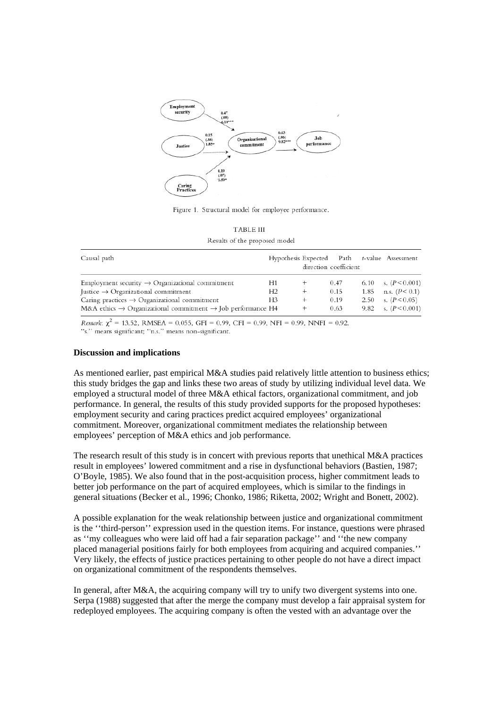

Figure 1. Structural model for employee performance.

|  | TABLE III                     |  |
|--|-------------------------------|--|
|  | Results of the proposed model |  |

| Causal path                                                                           | Hypothesis Expected Path |        | direction coefficient |      | t-value Assessment  |
|---------------------------------------------------------------------------------------|--------------------------|--------|-----------------------|------|---------------------|
| Employment security $\rightarrow$ Organizational commitment                           | H1                       |        | 0.47                  |      | 6.10 s. $(P<0.001)$ |
| Justice $\rightarrow$ Organizational commitment                                       | H2                       | $^+$   | 0.15                  | 1.85 | n.s. $(P < 0.1)$    |
| Caring practices $\rightarrow$ Organizational commitment                              | H3                       | $^+$   | 0.19                  | 2.50 | s. $(P < 0.05)$     |
| $M&A$ ethics $\rightarrow$ Organizational commitment $\rightarrow$ Job performance H4 |                          | $^{+}$ | 0.63                  | 9.82 | s. $(P < 0.001)$    |

Remark:  $\chi^2$  = 13.52, RMSEA = 0.055, GFI = 0.99, CFI = 0.99, NFI = 0.99, NNFI = 0.92. "s." means significant; "n.s." means non-significant.

#### **Discussion and implications**

As mentioned earlier, past empirical M&A studies paid relatively little attention to business ethics; this study bridges the gap and links these two areas of study by utilizing individual level data. We employed a structural model of three M&A ethical factors, organizational commitment, and job performance. In general, the results of this study provided supports for the proposed hypotheses: employment security and caring practices predict acquired employees' organizational commitment. Moreover, organizational commitment mediates the relationship between employees' perception of M&A ethics and job performance.

The research result of this study is in concert with previous reports that unethical M&A practices result in employees' lowered commitment and a rise in dysfunctional behaviors (Bastien, 1987; O'Boyle, 1985). We also found that in the post-acquisition process, higher commitment leads to better job performance on the part of acquired employees, which is similar to the findings in general situations (Becker et al., 1996; Chonko, 1986; Riketta, 2002; Wright and Bonett, 2002).

A possible explanation for the weak relationship between justice and organizational commitment is the ''third-person'' expression used in the question items. For instance, questions were phrased as ''my colleagues who were laid off had a fair separation package'' and ''the new company placed managerial positions fairly for both employees from acquiring and acquired companies.'' Very likely, the effects of justice practices pertaining to other people do not have a direct impact on organizational commitment of the respondents themselves.

In general, after M&A, the acquiring company will try to unify two divergent systems into one. Serpa (1988) suggested that after the merge the company must develop a fair appraisal system for redeployed employees. The acquiring company is often the vested with an advantage over the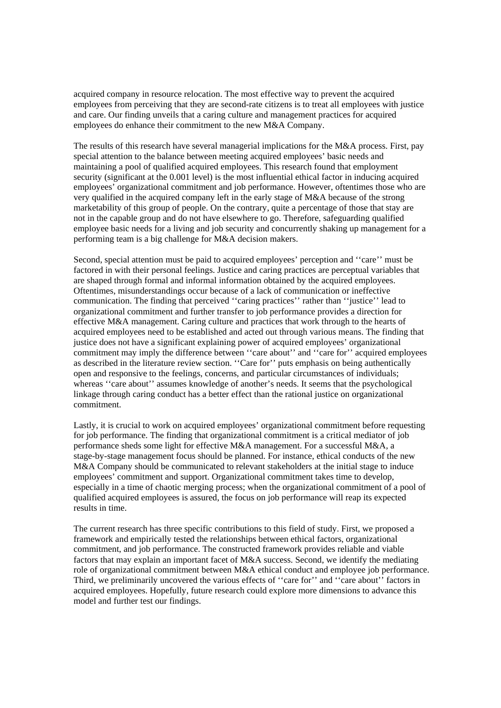acquired company in resource relocation. The most effective way to prevent the acquired employees from perceiving that they are second-rate citizens is to treat all employees with justice and care. Our finding unveils that a caring culture and management practices for acquired employees do enhance their commitment to the new M&A Company.

The results of this research have several managerial implications for the M&A process. First, pay special attention to the balance between meeting acquired employees' basic needs and maintaining a pool of qualified acquired employees. This research found that employment security (significant at the 0.001 level) is the most influential ethical factor in inducing acquired employees' organizational commitment and job performance. However, oftentimes those who are very qualified in the acquired company left in the early stage of M&A because of the strong marketability of this group of people. On the contrary, quite a percentage of those that stay are not in the capable group and do not have elsewhere to go. Therefore, safeguarding qualified employee basic needs for a living and job security and concurrently shaking up management for a performing team is a big challenge for M&A decision makers.

Second, special attention must be paid to acquired employees' perception and ''care'' must be factored in with their personal feelings. Justice and caring practices are perceptual variables that are shaped through formal and informal information obtained by the acquired employees. Oftentimes, misunderstandings occur because of a lack of communication or ineffective communication. The finding that perceived ''caring practices'' rather than ''justice'' lead to organizational commitment and further transfer to job performance provides a direction for effective M&A management. Caring culture and practices that work through to the hearts of acquired employees need to be established and acted out through various means. The finding that justice does not have a significant explaining power of acquired employees' organizational commitment may imply the difference between ''care about'' and ''care for'' acquired employees as described in the literature review section. ''Care for'' puts emphasis on being authentically open and responsive to the feelings, concerns, and particular circumstances of individuals; whereas "care about" assumes knowledge of another's needs. It seems that the psychological linkage through caring conduct has a better effect than the rational justice on organizational commitment.

Lastly, it is crucial to work on acquired employees' organizational commitment before requesting for job performance. The finding that organizational commitment is a critical mediator of job performance sheds some light for effective M&A management. For a successful M&A, a stage-by-stage management focus should be planned. For instance, ethical conducts of the new M&A Company should be communicated to relevant stakeholders at the initial stage to induce employees' commitment and support. Organizational commitment takes time to develop, especially in a time of chaotic merging process; when the organizational commitment of a pool of qualified acquired employees is assured, the focus on job performance will reap its expected results in time.

The current research has three specific contributions to this field of study. First, we proposed a framework and empirically tested the relationships between ethical factors, organizational commitment, and job performance. The constructed framework provides reliable and viable factors that may explain an important facet of M&A success. Second, we identify the mediating role of organizational commitment between M&A ethical conduct and employee job performance. Third, we preliminarily uncovered the various effects of "care for" and "care about" factors in acquired employees. Hopefully, future research could explore more dimensions to advance this model and further test our findings.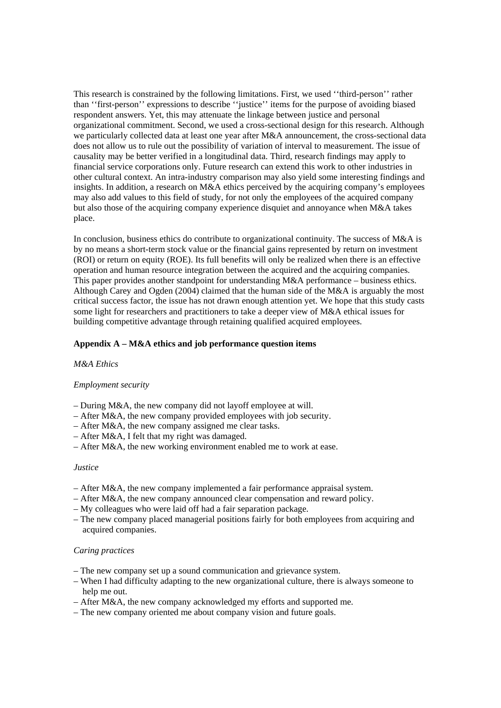This research is constrained by the following limitations. First, we used ''third-person'' rather than ''first-person'' expressions to describe ''justice'' items for the purpose of avoiding biased respondent answers. Yet, this may attenuate the linkage between justice and personal organizational commitment. Second, we used a cross-sectional design for this research. Although we particularly collected data at least one year after M&A announcement, the cross-sectional data does not allow us to rule out the possibility of variation of interval to measurement. The issue of causality may be better verified in a longitudinal data. Third, research findings may apply to financial service corporations only. Future research can extend this work to other industries in other cultural context. An intra-industry comparison may also yield some interesting findings and insights. In addition, a research on  $M&A$  ethics perceived by the acquiring company's employees may also add values to this field of study, for not only the employees of the acquired company but also those of the acquiring company experience disquiet and annoyance when M&A takes place.

In conclusion, business ethics do contribute to organizational continuity. The success of M&A is by no means a short-term stock value or the financial gains represented by return on investment (ROI) or return on equity (ROE). Its full benefits will only be realized when there is an effective operation and human resource integration between the acquired and the acquiring companies. This paper provides another standpoint for understanding M&A performance – business ethics. Although Carey and Ogden (2004) claimed that the human side of the M&A is arguably the most critical success factor, the issue has not drawn enough attention yet. We hope that this study casts some light for researchers and practitioners to take a deeper view of M&A ethical issues for building competitive advantage through retaining qualified acquired employees.

## **Appendix A – M&A ethics and job performance question items**

# *M&A Ethics*

## *Employment security*

- During M&A, the new company did not layoff employee at will.
- After M&A, the new company provided employees with job security.
- After M&A, the new company assigned me clear tasks.
- After M&A, I felt that my right was damaged.
- After M&A, the new working environment enabled me to work at ease.

#### *Justice*

- After M&A, the new company implemented a fair performance appraisal system.
- After M&A, the new company announced clear compensation and reward policy.
- My colleagues who were laid off had a fair separation package.
- The new company placed managerial positions fairly for both employees from acquiring and acquired companies.

# *Caring practices*

- The new company set up a sound communication and grievance system.
- When I had difficulty adapting to the new organizational culture, there is always someone to help me out.
- After M&A, the new company acknowledged my efforts and supported me.
- The new company oriented me about company vision and future goals.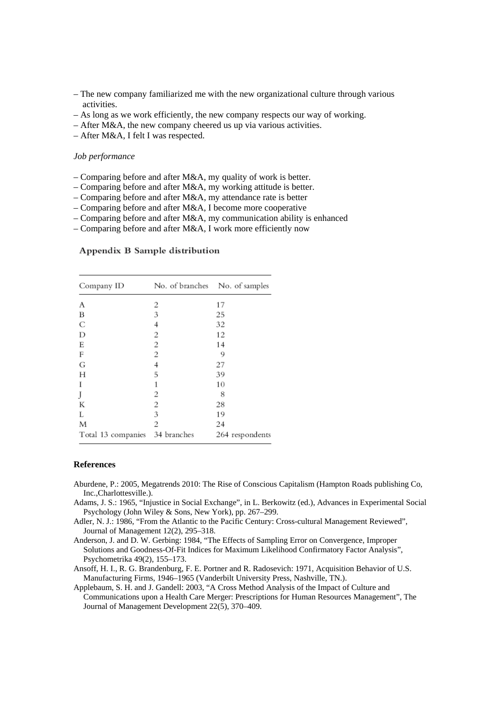- The new company familiarized me with the new organizational culture through various activities.
- As long as we work efficiently, the new company respects our way of working.
- After M&A, the new company cheered us up via various activities.
- After M&A, I felt I was respected.

#### *Job performance*

- Comparing before and after M&A, my quality of work is better.
- Comparing before and after M&A, my working attitude is better.
- Comparing before and after M&A, my attendance rate is better
- Comparing before and after M&A, I become more cooperative
- Comparing before and after M&A, my communication ability is enhanced
- Comparing before and after M&A, I work more efficiently now

#### Appendix B Sample distribution

| Company ID                     | No. of branches No. of samples |                 |
|--------------------------------|--------------------------------|-----------------|
| А                              | 2                              | 17              |
| В                              | 3                              | 25              |
| C                              | 4                              | 32              |
| D                              | 2                              | 12              |
| Ε                              | 2                              | 14              |
| F                              | 2                              | 9               |
| G                              | 4                              | 27              |
| Н                              | 5                              | 39              |
| Ι                              | 1                              | 10              |
|                                | 2                              | 8               |
| K                              | 2                              | 28              |
| L                              | 3                              | 19              |
| M                              | 2                              | 24              |
| Total 13 companies 34 branches |                                | 264 respondents |

#### **References**

- Aburdene, P.: 2005, Megatrends 2010: The Rise of Conscious Capitalism (Hampton Roads publishing Co, Inc.,Charlottesville.).
- Adams, J. S.: 1965, "Injustice in Social Exchange", in L. Berkowitz (ed.), Advances in Experimental Social Psychology (John Wiley & Sons, New York), pp. 267–299.
- Adler, N. J.: 1986, "From the Atlantic to the Pacific Century: Cross-cultural Management Reviewed", Journal of Management 12(2), 295–318.
- Anderson, J. and D. W. Gerbing: 1984, "The Effects of Sampling Error on Convergence, Improper Solutions and Goodness-Of-Fit Indices for Maximum Likelihood Confirmatory Factor Analysis", Psychometrika 49(2), 155–173.
- Ansoff, H. I., R. G. Brandenburg, F. E. Portner and R. Radosevich: 1971, Acquisition Behavior of U.S. Manufacturing Firms, 1946–1965 (Vanderbilt University Press, Nashville, TN.).
- Applebaum, S. H. and J. Gandell: 2003, "A Cross Method Analysis of the Impact of Culture and Communications upon a Health Care Merger: Prescriptions for Human Resources Management", The Journal of Management Development 22(5), 370–409.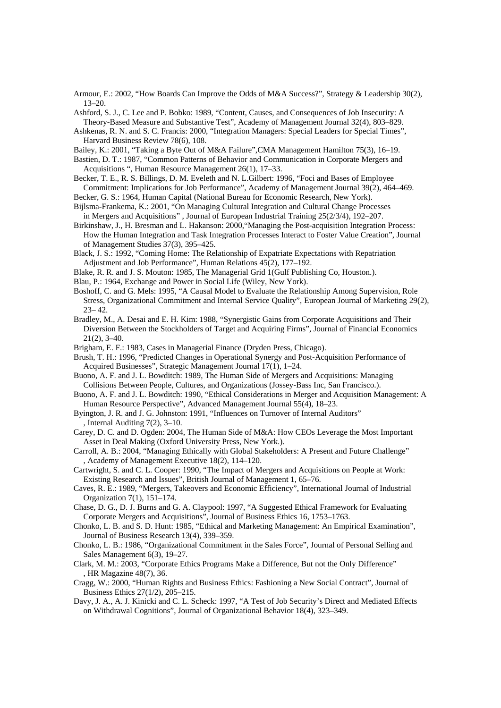- Armour, E.: 2002, "How Boards Can Improve the Odds of M&A Success?", Strategy & Leadership 30(2), 13–20.
- Ashford, S. J., C. Lee and P. Bobko: 1989, "Content, Causes, and Consequences of Job Insecurity: A Theory-Based Measure and Substantive Test", Academy of Management Journal 32(4), 803–829.
- Ashkenas, R. N. and S. C. Francis: 2000, "Integration Managers: Special Leaders for Special Times", Harvard Business Review 78(6), 108.
- Bailey, K.: 2001, "Taking a Byte Out of M&A Failure",CMA Management Hamilton 75(3), 16–19.

Bastien, D. T.: 1987, "Common Patterns of Behavior and Communication in Corporate Mergers and Acquisitions ", Human Resource Management 26(1), 17–33.

- Becker, T. E., R. S. Billings, D. M. Eveleth and N. L.Gilbert: 1996, "Foci and Bases of Employee Commitment: Implications for Job Performance", Academy of Management Journal 39(2), 464–469.
- Becker, G. S.: 1964, Human Capital (National Bureau for Economic Research, New York).
- Bijlsma-Frankema, K.: 2001, "On Managing Cultural Integration and Cultural Change Processes in Mergers and Acquisitions" , Journal of European Industrial Training 25(2/3/4), 192–207.
- Birkinshaw, J., H. Bresman and L. Hakanson: 2000,"Managing the Post-acquisition Integration Process: How the Human Integration and Task Integration Processes Interact to Foster Value Creation", Journal of Management Studies 37(3), 395–425.
- Black, J. S.: 1992, "Coming Home: The Relationship of Expatriate Expectations with Repatriation Adjustment and Job Performance", Human Relations 45(2), 177–192.
- Blake, R. R. and J. S. Mouton: 1985, The Managerial Grid 1(Gulf Publishing Co, Houston.).
- Blau, P.: 1964, Exchange and Power in Social Life (Wiley, New York).
- Boshoff, C. and G. Mels: 1995, "A Causal Model to Evaluate the Relationship Among Supervision, Role Stress, Organizational Commitment and Internal Service Quality", European Journal of Marketing 29(2),  $23 - 42.$
- Bradley, M., A. Desai and E. H. Kim: 1988, "Synergistic Gains from Corporate Acquisitions and Their Diversion Between the Stockholders of Target and Acquiring Firms", Journal of Financial Economics 21(2), 3–40.
- Brigham, E. F.: 1983, Cases in Managerial Finance (Dryden Press, Chicago).
- Brush, T. H.: 1996, "Predicted Changes in Operational Synergy and Post-Acquisition Performance of Acquired Businesses", Strategic Management Journal 17(1), 1–24.
- Buono, A. F. and J. L. Bowditch: 1989, The Human Side of Mergers and Acquisitions: Managing Collisions Between People, Cultures, and Organizations (Jossey-Bass Inc, San Francisco.).
- Buono, A. F. and J. L. Bowditch: 1990, "Ethical Considerations in Merger and Acquisition Management: A Human Resource Perspective", Advanced Management Journal 55(4), 18–23.
- Byington, J. R. and J. G. Johnston: 1991, "Influences on Turnover of Internal Auditors" , Internal Auditing 7(2), 3–10.
- Carey, D. C. and D. Ogden: 2004, The Human Side of M&A: How CEOs Leverage the Most Important Asset in Deal Making (Oxford University Press, New York.).
- Carroll, A. B.: 2004, "Managing Ethically with Global Stakeholders: A Present and Future Challenge" , Academy of Management Executive 18(2), 114–120.
- Cartwright, S. and C. L. Cooper: 1990, "The Impact of Mergers and Acquisitions on People at Work: Existing Research and Issues", British Journal of Management 1, 65–76.
- Caves, R. E.: 1989, "Mergers, Takeovers and Economic Efficiency", International Journal of Industrial Organization 7(1), 151–174.
- Chase, D. G., D. J. Burns and G. A. Claypool: 1997, "A Suggested Ethical Framework for Evaluating Corporate Mergers and Acquisitions", Journal of Business Ethics 16, 1753–1763.
- Chonko, L. B. and S. D. Hunt: 1985, "Ethical and Marketing Management: An Empirical Examination", Journal of Business Research 13(4), 339–359.
- Chonko, L. B.: 1986, "Organizational Commitment in the Sales Force", Journal of Personal Selling and Sales Management 6(3), 19–27.
- Clark, M. M.: 2003, "Corporate Ethics Programs Make a Difference, But not the Only Difference" , HR Magazine 48(7), 36.
- Cragg, W.: 2000, "Human Rights and Business Ethics: Fashioning a New Social Contract", Journal of Business Ethics 27(1/2), 205–215.
- Davy, J. A., A. J. Kinicki and C. L. Scheck: 1997, "A Test of Job Security's Direct and Mediated Effects on Withdrawal Cognitions", Journal of Organizational Behavior 18(4), 323–349.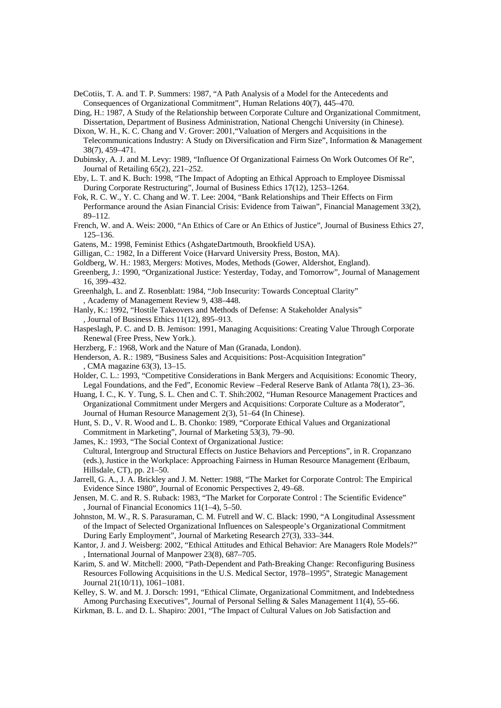- DeCotiis, T. A. and T. P. Summers: 1987, "A Path Analysis of a Model for the Antecedents and Consequences of Organizational Commitment", Human Relations 40(7), 445–470.
- Ding, H.: 1987, A Study of the Relationship between Corporate Culture and Organizational Commitment, Dissertation, Department of Business Administration, National Chengchi University (in Chinese).
- Dixon, W. H., K. C. Chang and V. Grover: 2001,"Valuation of Mergers and Acquisitions in the Telecommunications Industry: A Study on Diversification and Firm Size", Information & Management 38(7), 459–471.
- Dubinsky, A. J. and M. Levy: 1989, "Influence Of Organizational Fairness On Work Outcomes Of Re", Journal of Retailing 65(2), 221–252.
- Eby, L. T. and K. Buch: 1998, "The Impact of Adopting an Ethical Approach to Employee Dismissal During Corporate Restructuring", Journal of Business Ethics 17(12), 1253–1264.
- Fok, R. C. W., Y. C. Chang and W. T. Lee: 2004, "Bank Relationships and Their Effects on Firm Performance around the Asian Financial Crisis: Evidence from Taiwan", Financial Management 33(2), 89–112.
- French, W. and A. Weis: 2000, "An Ethics of Care or An Ethics of Justice", Journal of Business Ethics 27, 125–136.
- Gatens, M.: 1998, Feminist Ethics (AshgateDartmouth, Brookfield USA).
- Gilligan, C.: 1982, In a Different Voice (Harvard University Press, Boston, MA).
- Goldberg, W. H.: 1983, Mergers: Motives, Modes, Methods (Gower, Aldershot, England).
- Greenberg, J.: 1990, "Organizational Justice: Yesterday, Today, and Tomorrow", Journal of Management 16, 399–432.
- Greenhalgh, L. and Z. Rosenblatt: 1984, "Job Insecurity: Towards Conceptual Clarity" , Academy of Management Review 9, 438–448.
- Hanly, K.: 1992, "Hostile Takeovers and Methods of Defense: A Stakeholder Analysis" , Journal of Business Ethics 11(12), 895–913.
- Haspeslagh, P. C. and D. B. Jemison: 1991, Managing Acquisitions: Creating Value Through Corporate Renewal (Free Press, New York.).
- Herzberg, F.: 1968, Work and the Nature of Man (Granada, London).
- Henderson, A. R.: 1989, "Business Sales and Acquisitions: Post-Acquisition Integration" , CMA magazine 63(3), 13–15.
- Holder, C. L.: 1993, "Competitive Considerations in Bank Mergers and Acquisitions: Economic Theory, Legal Foundations, and the Fed", Economic Review –Federal Reserve Bank of Atlanta 78(1), 23–36.
- Huang, I. C., K. Y. Tung, S. L. Chen and C. T. Shih:2002, "Human Resource Management Practices and Organizational Commitment under Mergers and Acquisitions: Corporate Culture as a Moderator", Journal of Human Resource Management 2(3), 51–64 (In Chinese).
- Hunt, S. D., V. R. Wood and L. B. Chonko: 1989, "Corporate Ethical Values and Organizational Commitment in Marketing", Journal of Marketing 53(3), 79–90.
- James, K.: 1993, "The Social Context of Organizational Justice: Cultural, Intergroup and Structural Effects on Justice Behaviors and Perceptions", in R. Cropanzano (eds.), Justice in the Workplace: Approaching Fairness in Human Resource Management (Erlbaum, Hillsdale, CT), pp. 21–50.
- Jarrell, G. A., J. A. Brickley and J. M. Netter: 1988, "The Market for Corporate Control: The Empirical Evidence Since 1980", Journal of Economic Perspectives 2, 49–68.
- Jensen, M. C. and R. S. Ruback: 1983, "The Market for Corporate Control : The Scientific Evidence" , Journal of Financial Economics 11(1–4), 5–50.
- Johnston, M. W., R. S. Parasuraman, C. M. Futrell and W. C. Black: 1990, "A Longitudinal Assessment of the Impact of Selected Organizational Influences on Salespeople's Organizational Commitment During Early Employment", Journal of Marketing Research 27(3), 333–344.
- Kantor, J. and J. Weisberg: 2002, "Ethical Attitudes and Ethical Behavior: Are Managers Role Models?" , International Journal of Manpower 23(8), 687–705.
- Karim, S. and W. Mitchell: 2000, "Path-Dependent and Path-Breaking Change: Reconfiguring Business Resources Following Acquisitions in the U.S. Medical Sector, 1978–1995", Strategic Management Journal 21(10/11), 1061–1081.
- Kelley, S. W. and M. J. Dorsch: 1991, "Ethical Climate, Organizational Commitment, and Indebtedness Among Purchasing Executives", Journal of Personal Selling & Sales Management 11(4), 55–66.
- Kirkman, B. L. and D. L. Shapiro: 2001, "The Impact of Cultural Values on Job Satisfaction and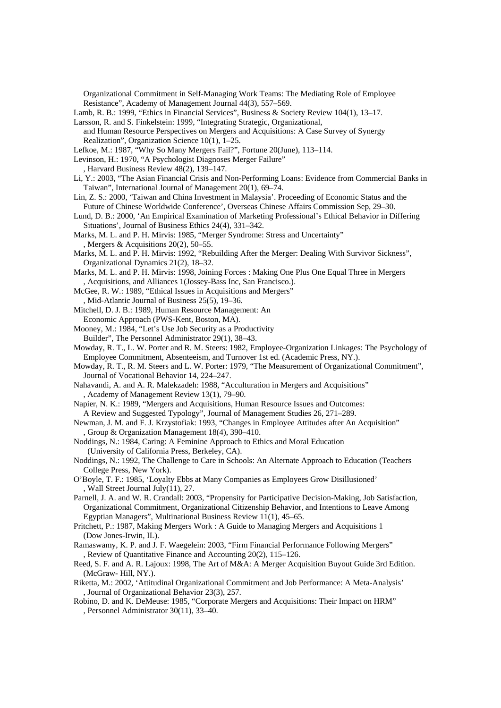Organizational Commitment in Self-Managing Work Teams: The Mediating Role of Employee Resistance", Academy of Management Journal 44(3), 557–569.

Lamb, R. B.: 1999, "Ethics in Financial Services", Business & Society Review 104(1), 13–17.

Larsson, R. and S. Finkelstein: 1999, "Integrating Strategic, Organizational, and Human Resource Perspectives on Mergers and Acquisitions: A Case Survey of Synergy Realization", Organization Science 10(1), 1–25.

Lefkoe, M.: 1987, "Why So Many Mergers Fail?", Fortune 20(June), 113–114.

- Levinson, H.: 1970, "A Psychologist Diagnoses Merger Failure"
- , Harvard Business Review 48(2), 139–147.
- Li, Y.: 2003, "The Asian Financial Crisis and Non-Performing Loans: Evidence from Commercial Banks in Taiwan", International Journal of Management 20(1), 69–74.

Lin, Z. S.: 2000, 'Taiwan and China Investment in Malaysia'. Proceeding of Economic Status and the Future of Chinese Worldwide Conference', Overseas Chinese Affairs Commission Sep, 29–30.

Lund, D. B.: 2000, 'An Empirical Examination of Marketing Professional's Ethical Behavior in Differing Situations', Journal of Business Ethics 24(4), 331–342.

Marks, M. L. and P. H. Mirvis: 1985, "Merger Syndrome: Stress and Uncertainty" , Mergers & Acquisitions 20(2), 50–55.

Marks, M. L. and P. H. Mirvis: 1992, "Rebuilding After the Merger: Dealing With Survivor Sickness", Organizational Dynamics 21(2), 18–32.

Marks, M. L. and P. H. Mirvis: 1998, Joining Forces : Making One Plus One Equal Three in Mergers , Acquisitions, and Alliances 1(Jossey-Bass Inc, San Francisco.).

- McGee, R. W.: 1989, "Ethical Issues in Acquisitions and Mergers"
- , Mid-Atlantic Journal of Business 25(5), 19–36. Mitchell, D. J. B.: 1989, Human Resource Management: An
- Economic Approach (PWS-Kent, Boston, MA).
- Mooney, M.: 1984, "Let's Use Job Security as a Productivity Builder", The Personnel Administrator 29(1), 38–43.
- Mowday, R. T., L. W. Porter and R. M. Steers: 1982, Employee-Organization Linkages: The Psychology of Employee Commitment, Absenteeism, and Turnover 1st ed. (Academic Press, NY.).

Mowday, R. T., R. M. Steers and L. W. Porter: 1979, "The Measurement of Organizational Commitment", Journal of Vocational Behavior 14, 224–247.

Nahavandi, A. and A. R. Malekzadeh: 1988, "Acculturation in Mergers and Acquisitions" , Academy of Management Review 13(1), 79–90.

- Napier, N. K.: 1989, "Mergers and Acquisitions, Human Resource Issues and Outcomes:
- A Review and Suggested Typology", Journal of Management Studies 26, 271–289. Newman, J. M. and F. J. Krzystofiak: 1993, "Changes in Employee Attitudes after An Acquisition"
- Group & Organization Management 18(4), 390-410.
- Noddings, N.: 1984, Caring: A Feminine Approach to Ethics and Moral Education (University of California Press, Berkeley, CA).
- Noddings, N.: 1992, The Challenge to Care in Schools: An Alternate Approach to Education (Teachers College Press, New York).
- O'Boyle, T. F.: 1985, 'Loyalty Ebbs at Many Companies as Employees Grow Disillusioned' , Wall Street Journal July(11), 27.
- Parnell, J. A. and W. R. Crandall: 2003, "Propensity for Participative Decision-Making, Job Satisfaction, Organizational Commitment, Organizational Citizenship Behavior, and Intentions to Leave Among Egyptian Managers", Multinational Business Review 11(1), 45–65.

Pritchett, P.: 1987, Making Mergers Work : A Guide to Managing Mergers and Acquisitions 1 (Dow Jones-Irwin, IL).

- Ramaswamy, K. P. and J. F. Waegelein: 2003, "Firm Financial Performance Following Mergers" , Review of Quantitative Finance and Accounting 20(2), 115–126.
- Reed, S. F. and A. R. Lajoux: 1998, The Art of M&A: A Merger Acquisition Buyout Guide 3rd Edition. (McGraw- Hill, NY.).
- Riketta, M.: 2002, 'Attitudinal Organizational Commitment and Job Performance: A Meta-Analysis' , Journal of Organizational Behavior 23(3), 257.
- Robino, D. and K. DeMeuse: 1985, "Corporate Mergers and Acquisitions: Their Impact on HRM" , Personnel Administrator 30(11), 33–40.